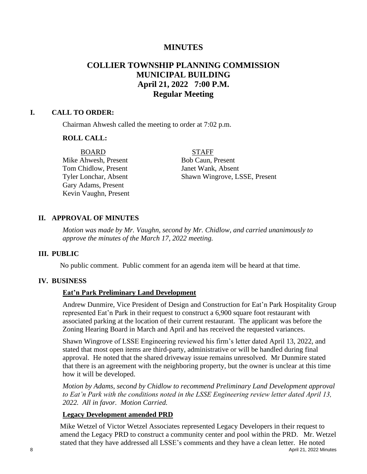# **MINUTES**

# **COLLIER TOWNSHIP PLANNING COMMISSION MUNICIPAL BUILDING April 21, 2022 7:00 P.M. Regular Meeting**

#### **I. CALL TO ORDER:**

Chairman Ahwesh called the meeting to order at 7:02 p.m.

## **ROLL CALL:**

Mike Ahwesh, Present Bob Caun, Present Tom Chidlow, Present Janet Wank, Absent Gary Adams, Present Kevin Vaughn, Present

#### BOARD STAFF

Tyler Lonchar, Absent Shawn Wingrove, LSSE, Present

## **II. APPROVAL OF MINUTES**

*Motion was made by Mr. Vaughn, second by Mr. Chidlow, and carried unanimously to approve the minutes of the March 17, 2022 meeting.* 

#### **III. PUBLIC**

No public comment. Public comment for an agenda item will be heard at that time.

## **IV. BUSINESS**

## **Eat'n Park Preliminary Land Development**

Andrew Dunmire, Vice President of Design and Construction for Eat'n Park Hospitality Group represented Eat'n Park in their request to construct a 6,900 square foot restaurant with associated parking at the location of their current restaurant. The applicant was before the Zoning Hearing Board in March and April and has received the requested variances.

Shawn Wingrove of LSSE Engineering reviewed his firm's letter dated April 13, 2022, and stated that most open items are third-party, administrative or will be handled during final approval. He noted that the shared driveway issue remains unresolved. Mr Dunmire stated that there is an agreement with the neighboring property, but the owner is unclear at this time how it will be developed.

*Motion by Adams, second by Chidlow to recommend Preliminary Land Development approval to Eat'n Park with the conditions noted in the LSSE Engineering review letter dated April 13, 2022. All in favor. Motion Carried.*

## **Legacy Development amended PRD**

8 April 21, 2022 Minutes Mike Wetzel of Victor Wetzel Associates represented Legacy Developers in their request to amend the Legacy PRD to construct a community center and pool within the PRD. Mr. Wetzel stated that they have addressed all LSSE's comments and they have a clean letter. He noted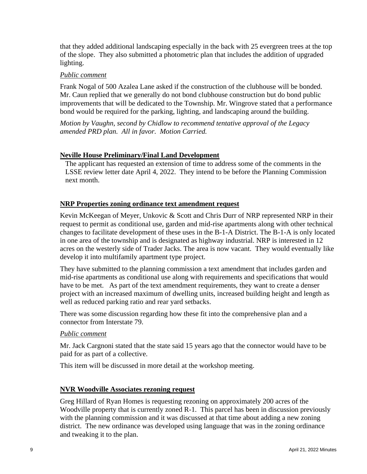that they added additional landscaping especially in the back with 25 evergreen trees at the top of the slope. They also submitted a photometric plan that includes the addition of upgraded lighting.

## *Public comment*

Frank Nogal of 500 Azalea Lane asked if the construction of the clubhouse will be bonded. Mr. Caun replied that we generally do not bond clubhouse construction but do bond public improvements that will be dedicated to the Township. Mr. Wingrove stated that a performance bond would be required for the parking, lighting, and landscaping around the building.

*Motion by Vaughn, second by Chidlow to recommend tentative approval of the Legacy amended PRD plan. All in favor. Motion Carried.*

## **Neville House Preliminary/Final Land Development**

The applicant has requested an extension of time to address some of the comments in the LSSE review letter date April 4, 2022. They intend to be before the Planning Commission next month.

## **NRP Properties zoning ordinance text amendment request**

Kevin McKeegan of Meyer, Unkovic & Scott and Chris Durr of NRP represented NRP in their request to permit as conditional use, garden and mid-rise apartments along with other technical changes to facilitate development of these uses in the B-1-A District. The B-1-A is only located in one area of the township and is designated as highway industrial. NRP is interested in 12 acres on the westerly side of Trader Jacks. The area is now vacant. They would eventually like develop it into multifamily apartment type project.

They have submitted to the planning commission a text amendment that includes garden and mid-rise apartments as conditional use along with requirements and specifications that would have to be met. As part of the text amendment requirements, they want to create a denser project with an increased maximum of dwelling units, increased building height and length as well as reduced parking ratio and rear yard setbacks.

There was some discussion regarding how these fit into the comprehensive plan and a connector from Interstate 79.

## *Public comment*

Mr. Jack Cargnoni stated that the state said 15 years ago that the connector would have to be paid for as part of a collective.

This item will be discussed in more detail at the workshop meeting.

## **NVR Woodville Associates rezoning request**

Greg Hillard of Ryan Homes is requesting rezoning on approximately 200 acres of the Woodville property that is currently zoned R-1. This parcel has been in discussion previously with the planning commission and it was discussed at that time about adding a new zoning district. The new ordinance was developed using language that was in the zoning ordinance and tweaking it to the plan.